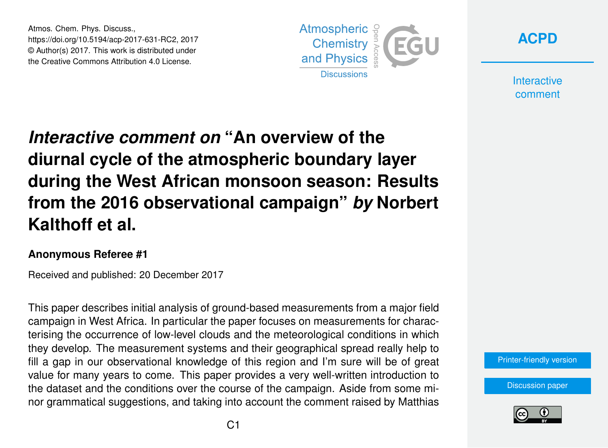Atmos. Chem. Phys. Discuss., https://doi.org/10.5194/acp-2017-631-RC2, 2017 © Author(s) 2017. This work is distributed under the Creative Commons Attribution 4.0 License.





**Interactive** comment

## *Interactive comment on* **"An overview of the diurnal cycle of the atmospheric boundary layer during the West African monsoon season: Results from the 2016 observational campaign"** *by* **Norbert Kalthoff et al.**

## **Anonymous Referee #1**

Received and published: 20 December 2017

This paper describes initial analysis of ground-based measurements from a major field campaign in West Africa. In particular the paper focuses on measurements for characterising the occurrence of low-level clouds and the meteorological conditions in which they develop. The measurement systems and their geographical spread really help to fill a gap in our observational knowledge of this region and I'm sure will be of great value for many years to come. This paper provides a very well-written introduction to the dataset and the conditions over the course of the campaign. Aside from some minor grammatical suggestions, and taking into account the comment raised by Matthias

[Printer-friendly version](https://www.atmos-chem-phys-discuss.net/acp-2017-631/acp-2017-631-RC2-print.pdf)

[Discussion paper](https://www.atmos-chem-phys-discuss.net/acp-2017-631)

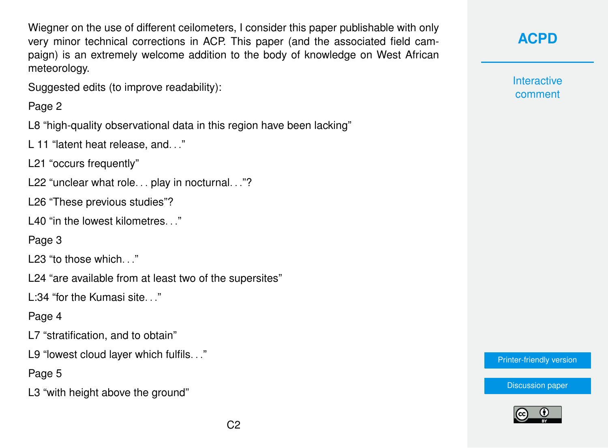Wiegner on the use of different ceilometers, I consider this paper publishable with only very minor technical corrections in ACP. This paper (and the associated field campaign) is an extremely welcome addition to the body of knowledge on West African meteorology.

Suggested edits (to improve readability):

## Page 2

L8 "high-quality observational data in this region have been lacking"

L 11 "latent heat release, and. . ."

L21 "occurs frequently"

L22 "unclear what role... play in nocturnal..."?

L26 "These previous studies"?

L40 "in the lowest kilometres..."

Page 3

L23 "to those which..."

L24 "are available from at least two of the supersites"

 $L:34$  "for the Kumasi site..."

Page 4

L7 "stratification, and to obtain"

L9 "lowest cloud layer which fulfils. . ."

Page 5

L3 "with height above the ground"

**[ACPD](https://www.atmos-chem-phys-discuss.net/)**

**Interactive** comment

[Printer-friendly version](https://www.atmos-chem-phys-discuss.net/acp-2017-631/acp-2017-631-RC2-print.pdf)

[Discussion paper](https://www.atmos-chem-phys-discuss.net/acp-2017-631)